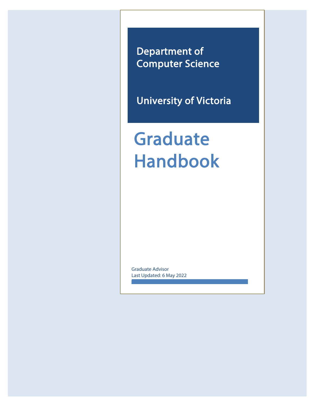Department of Computer Science

University of Victoria

Graduate Handbook

Graduate Advisor Last Updated: 6 May 2022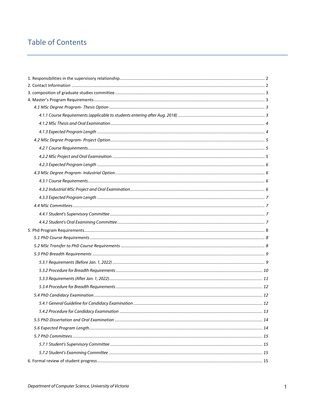# **Table of Contents**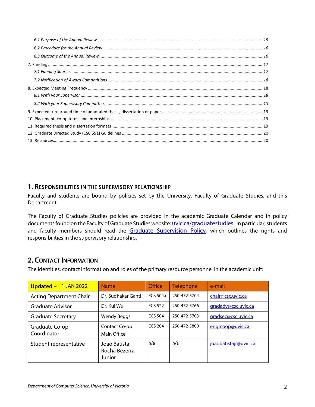## <span id="page-2-0"></span>1. RESPONSIBILITIES IN THE SUPERVISORY RELATIONSHIP

Faculty and students are bound by policies set by the University, Faculty of Graduate Studies, and this Department.

The Faculty of Graduate Studies policies are provided in the academic Graduate Calendar and in policy documents found on the Faculty of Graduate Studies website[: uvic.ca/graduatestudies.](http://www.uvic.ca/graduatestudies) In particular, students and faculty members should read the [Graduate Supervision Policy,](https://www.uvic.ca/graduatestudies/assets/docs/pdfs/policies/graduate-supervision-policy.pdf) which outlines the rights and responsibilities in the supervisory relationship.

## <span id="page-2-1"></span>2. CONTACT INFORMATION

The identities, contact information and roles of the primary resource personnel in the academic unit:

| Updated - 1 JAN 2022           | <b>Name</b>                             | Office          | Telephone    | e-mail                |
|--------------------------------|-----------------------------------------|-----------------|--------------|-----------------------|
| <b>Acting Department Chair</b> | Dr. Sudhakar Ganti                      | <b>ECS 504a</b> | 250-472-5704 | chair@csc.uvic.ca     |
| Graduate Advisor               | Dr. Kui Wu                              | <b>ECS 522</b>  | 250-472-5766 | gradadv@csc.uvic.ca   |
| <b>Graduate Secretary</b>      | <b>Wendy Beggs</b>                      | <b>ECS 504</b>  | 250-472-5703 | gradsec@csc.uvic.ca   |
| Graduate Co-op<br>Coordinator  | Contact Co-op<br>Main Office            | <b>FCS 204</b>  | 250-472-5800 | engrcoop@uvic.ca      |
| Student representative         | Joao Batista<br>Rocha Bezerra<br>Junior | n/a             | n/a          | joaobatistajr@uvic.ca |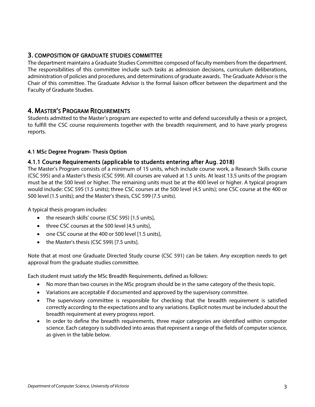## <span id="page-3-0"></span>3. COMPOSITION OF GRADUATE STUDIES COMMITTEE

The department maintains a Graduate Studies Committee composed of faculty members from the department. The responsibilities of this committee include such tasks as admission decisions, curriculum deliberations, administration of policies and procedures, and determinations of graduate awards. The Graduate Advisor is the Chair of this committee. The Graduate Advisor is the formal liaison officer between the department and the Faculty of Graduate Studies.

<span id="page-3-1"></span>4. MASTER'S PROGRAM REQUIREMENTS<br>Students admitted to the Master's program are expected to write and defend successfully a thesis or a project, to fulfill the CSC course requirements together with the breadth requirement, and to have yearly progress reports.

#### <span id="page-3-2"></span>4.1 MSc Degree Program- Thesis Option

#### <span id="page-3-3"></span>4.1.1 Course Requirements (applicable to students entering after Aug. 2018)

The Master's Program consists of a minimum of 15 units, which include course work, a Research Skills course (CSC 595) and a Master's thesis (CSC 599). All courses are valued at 1.5 units. At least 13.5 units of the program must be at the 500 level or higher. The remaining units must be at the 400 level or higher. A typical program would include: CSC 595 (1.5 units); three CSC courses at the 500 level (4.5 units); one CSC course at the 400 or 500 level (1.5 units); and the Master's thesis, CSC 599 (7.5 units).

A typical thesis program includes:

- the research skills' course (CSC 595) [1.5 units],
- three CSC courses at the 500 level [4.5 units],
- one CSC course at the 400 or 500 level [1.5 units],
- the Master's thesis (CSC 599) [7.5 units].

Note that at most one Graduate Directed Study course (CSC 591) can be taken. Any exception needs to get approval from the graduate studies committee.

Each student must satisfy the MSc Breadth Requirements, defined as follows:

- No more than two courses in the MSc program should be in the same category of the thesis topic.
- Variations are acceptable if documented and approved by the supervisory committee.
- The supervisory committee is responsible for checking that the breadth requirement is satisfied correctly according to the expectations and to any variations. Explicit notes must be included about the breadth requirement at every progress report.
- In order to define the breadth requirements, three major categories are identified within computer science. Each category is subdivided into areas that represent a range of the fields of computer science, as given in the table below.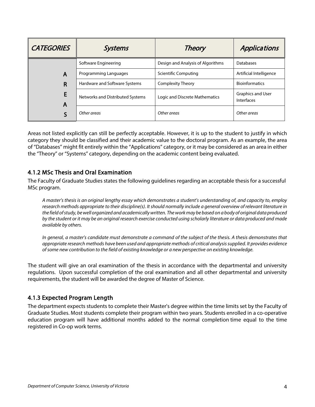| <b>CATEGORIES</b> | <b>Systems</b>                   | <b>Theory</b>                     | Applications                           |
|-------------------|----------------------------------|-----------------------------------|----------------------------------------|
|                   | Software Engineering             | Design and Analysis of Algorithms | <b>Databases</b>                       |
| A                 | Programming Languages            | Scientific Computing              | Artificial Intelligence                |
| R                 | Hardware and Software Systems    | <b>Complexity Theory</b>          | <b>Bioinformatics</b>                  |
| E<br>A            | Networks and Distributed Systems | Logic and Discrete Mathematics    | <b>Graphics and User</b><br>Interfaces |
|                   | Other areas                      | Other areas                       | Other areas                            |

Areas not listed explicitly can still be perfectly acceptable. However, it is up to the student to justify in which category they should be classified and their academic value to the doctoral program. As an example, the area of "Databases" might fit entirely within the "Applications" category, or it may be considered as an area in either the "Theory" or "Systems" category, depending on the academic content being evaluated.

## <span id="page-4-0"></span>4.1.2 MSc Thesis and Oral Examination

The Faculty of Graduate Studies states the following guidelines regarding an acceptable thesis for a successful MSc program.

*A master's thesis is an original lengthy essay which demonstrates a student's understanding of, and capacity to, employ research methods appropriate to their discipline(s). It should normally include a general overview of relevant literature in the field of study, be well organized and academically written. The work may be based on a body of original data produced by the student or it may be an original research exercise conducted using scholarly literature or data produced and made available by others.*

*In general, a master's candidate must demonstrate a command of the subject of the thesis. A thesis demonstrates that appropriate research methods have been used and appropriate methods of critical analysis supplied. It provides evidence of some new contribution to the field of existing knowledge or a new perspective on existing knowledge.*

The student will give an oral examination of the thesis in accordance with the departmental and university regulations. Upon successful completion of the oral examination and all other departmental and university requirements, the student will be awarded the degree of Master of Science.

## <span id="page-4-1"></span>4.1.3 Expected Program Length

The department expects students to complete their Master's degree within the time limits set by the Faculty of Graduate Studies. Most students complete their program within two years. Students enrolled in a co-operative education program will have additional months added to the normal completion time equal to the time registered in Co-op work terms.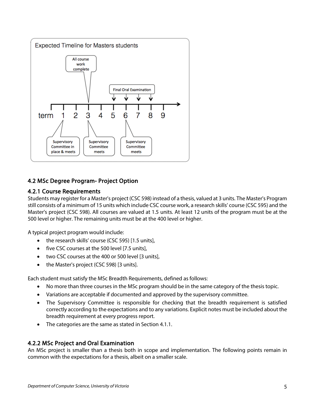

## <span id="page-5-0"></span>4.2 MSc Degree Program- Project Option

## <span id="page-5-1"></span>4.2.1 Course Requirements

Students may register for a Master's project (CSC 598) instead of a thesis, valued at 3 units. The Master's Program still consists of a minimum of 15 units which include CSC course work, a research skills' course (CSC 595) and the Master's project (CSC 598). All courses are valued at 1.5 units. At least 12 units of the program must be at the 500 level or higher. The remaining units must be at the 400 level or higher.

A typical project program would include:

- the research skills' course (CSC 595) [1.5 units],
- five CSC courses at the 500 level [7.5 units],
- two CSC courses at the 400 or 500 level [3 units],
- the Master's project (CSC 598) [3 units].

Each student must satisfy the MSc Breadth Requirements, defined as follows:

- No more than three courses in the MSc program should be in the same category of the thesis topic.
- Variations are acceptable if documented and approved by the supervisory committee.
- The Supervisory Committee is responsible for checking that the breadth requirement is satisfied correctly according to the expectations and to any variations. Explicit notes must be included about the breadth requirement at every progress report.
- The categories are the same as stated in Section 4.1.1.

## <span id="page-5-2"></span>4.2.2 MSc Project and Oral Examination

An MSc project is smaller than a thesis both in scope and implementation. The following points remain in common with the expectations for a thesis, albeit on a smaller scale.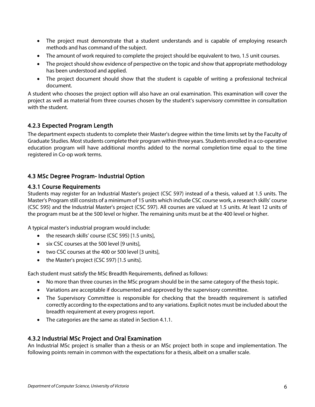- The project must demonstrate that a student understands and is capable of employing research methods and has command of the subject.
- The amount of work required to complete the project should be equivalent to two, 1.5 unit courses.
- The project should show evidence of perspective on the topic and show that appropriate methodology has been understood and applied.
- The project document should show that the student is capable of writing a professional technical document.

A student who chooses the project option will also have an oral examination. This examination will cover the project as well as material from three courses chosen by the student's supervisory committee in consultation with the student.

## <span id="page-6-0"></span>4.2.3 Expected Program Length

The department expects students to complete their Master's degree within the time limits set by the Faculty of Graduate Studies. Most students complete their program within three years. Students enrolled in a co-operative education program will have additional months added to the normal completion time equal to the time registered in Co-op work terms.

## <span id="page-6-1"></span>4.3 MSc Degree Program- Industrial Option

#### <span id="page-6-2"></span>4.3.1 Course Requirements

Students may register for an Industrial Master's project (CSC 597) instead of a thesis, valued at 1.5 units. The Master's Program still consists of a minimum of 15 units which include CSC course work, a research skills' course (CSC 595) and the Industrial Master's project (CSC 597). All courses are valued at 1.5 units. At least 12 units of the program must be at the 500 level or higher. The remaining units must be at the 400 level or higher.

A typical master's industrial program would include:

- the research skills' course (CSC 595) [1.5 units],
- six CSC courses at the 500 level [9 units],
- two CSC courses at the 400 or 500 level [3 units],
- the Master's project (CSC 597) [1.5 units].

Each student must satisfy the MSc Breadth Requirements, defined as follows:

- No more than three courses in the MSc program should be in the same category of the thesis topic.
- Variations are acceptable if documented and approved by the supervisory committee.
- The Supervisory Committee is responsible for checking that the breadth requirement is satisfied correctly according to the expectations and to any variations. Explicit notes must be included about the breadth requirement at every progress report.
- The categories are the same as stated in Section 4.1.1.

#### <span id="page-6-3"></span>4.3.2 Industrial MSc Project and Oral Examination

An Industrial MSc project is smaller than a thesis or an MSc project both in scope and implementation. The following points remain in common with the expectations for a thesis, albeit on a smaller scale.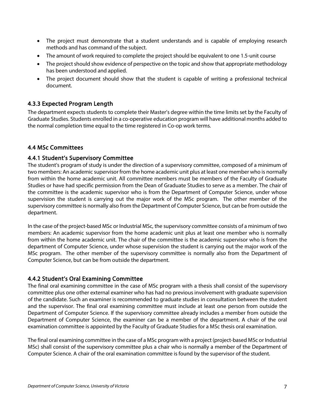- The project must demonstrate that a student understands and is capable of employing research methods and has command of the subject.
- The amount of work required to complete the project should be equivalent to one 1.5-unit course
- The project should show evidence of perspective on the topic and show that appropriate methodology has been understood and applied.
- The project document should show that the student is capable of writing a professional technical document.

## <span id="page-7-0"></span>4.3.3 Expected Program Length

The department expects students to complete their Master's degree within the time limits set by the Faculty of Graduate Studies. Students enrolled in a co-operative education program will have additional months added to the normal completion time equal to the time registered in Co-op work terms.

#### <span id="page-7-1"></span>4.4 MSc Committees

#### <span id="page-7-2"></span>4.4.1 Student's Supervisory Committee

The student's program of study is under the direction of a supervisory committee, composed of a minimum of two members: An academic supervisor from the home academic unit plus at least one member who is normally from within the home academic unit. All committee members must be members of the Faculty of Graduate Studies or have had specific permission from the Dean of Graduate Studies to serve as a member. The chair of the committee is the academic supervisor who is from the Department of Computer Science, under whose supervision the student is carrying out the major work of the MSc program. The other member of the supervisory committee is normally also from the Department of Computer Science, but can be from outside the department.

In the case of the project-based MSc or Industrial MSc, the supervisory committee consists of a minimum of two members: An academic supervisor from the home academic unit plus at least one member who is normally from within the home academic unit. The chair of the committee is the academic supervisor who is from the department of Computer Science, under whose supervision the student is carrying out the major work of the MSc program. The other member of the supervisory committee is normally also from the Department of Computer Science, but can be from outside the department.

#### <span id="page-7-3"></span>4.4.2 Student's Oral Examining Committee

The final oral examining committee in the case of MSc program with a thesis shall consist of the supervisory committee plus one other external examiner who has had no previous involvement with graduate supervision of the candidate. Such an examiner is recommended to graduate studies in consultation between the student and the supervisor. The final oral examining committee must include at least one person from outside the Department of Computer Science. If the supervisory committee already includes a member from outside the Department of Computer Science, the examiner can be a member of the department. A chair of the oral examination committee is appointed by the Faculty of Graduate Studies for a MSc thesis oral examination.

The final oral examining committee in the case of a MSc program with a project (project-based MSc or Industrial MSc) shall consist of the supervisory committee plus a chair who is normally a member of the Department of Computer Science. A chair of the oral examination committee is found by the supervisor of the student.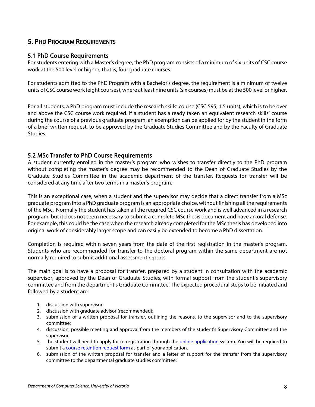## <span id="page-8-0"></span>5. PHD PROGRAM REQUIREMENTS

#### <span id="page-8-1"></span>5.1 PhD Course Requirements

For students entering with a Master's degree, the PhD program consists of a minimum of six units of CSC course work at the 500 level or higher, that is, four graduate courses.

For students admitted to the PhD Program with a Bachelor's degree, the requirement is a minimum of twelve units of CSC course work (eight courses), where at least nine units (six courses) must be at the 500 level or higher.

For all students, a PhD program must include the research skills' course (CSC 595, 1.5 units), which is to be over and above the CSC course work required. If a student has already taken an equivalent research skills' course during the course of a previous graduate program, an exemption can be applied for by the student in the form of a brief written request, to be approved by the Graduate Studies Committee and by the Faculty of Graduate Studies.

#### <span id="page-8-2"></span>5.2 MSc Transfer to PhD Course Requirements

A student currently enrolled in the master's program who wishes to transfer directly to the PhD program without completing the master's degree may be recommended to the Dean of Graduate Studies by the Graduate Studies Committee in the academic department of the transfer. Requests for transfer will be considered at any time after two terms in a master's program.

This is an exceptional case, when a student and the supervisor may decide that a direct transfer from a MSc graduate program into a PhD graduate program is an appropriate choice, without finishing all the requirements of the MSc. Normally the student has taken all the required CSC course work and is well advanced in a research program, but it does not seem necessary to submit a complete MSc thesis document and have an oral defense. For example, this could be the case when the research already completed for the MSc thesis has developed into original work of considerably larger scope and can easily be extended to become a PhD dissertation.

Completion is required within seven years from the date of the first registration in the master's program. Students who are recommended for transfer to the doctoral program within the same department are not normally required to submit additional assessment reports.

The main goal is to have a proposal for transfer, prepared by a student in consultation with the academic supervisor, approved by the Dean of Graduate Studies, with formal support from the student's supervisory committee and from the department's Graduate Committee. The expected procedural steps to be initiated and followed by a student are:

- 1. discussion with supervisor;
- 2. discussion with graduate advisor (recommended);
- 3. submission of a written proposal for transfer, outlining the reasons, to the supervisor and to the supervisory committee;
- 4. discussion, possible meeting and approval from the members of the student's Supervisory Committee and the supervisor;
- 5. the student will need to apply for re-registration through the [online application](https://www.uvic.ca/BAN1P/bzsklogn.p_display_login) system. You will be required to submit a [course retention request form](https://www.uvic.ca/graduatestudies/forms-policies/?utm_medium=redirect&utm_source=/graduatestudies/home/home/forms/index.php&utm_campaign=redirect-usage) as part of your application.
- 6. submission of the written proposal for transfer and a letter of support for the transfer from the supervisory committee to the departmental graduate studies committee;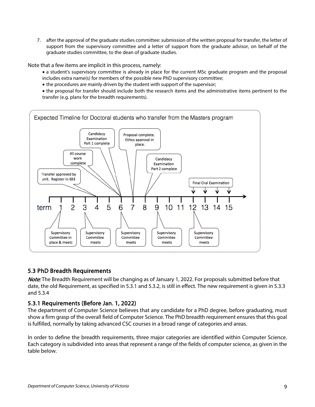7. after the approval of the graduate studies committee: submission of the written proposal for transfer, the letter of support from the supervisory committee and a letter of support from the graduate advisor, on behalf of the graduate studies committee, to the dean of graduate studies.

Note that a few items are implicit in this process, namely:

- a student's supervisory committee is already in place for the current MSc graduate program and the proposal includes extra name(s) for members of the possible new PhD supervisory committee;
- the procedures are mainly driven by the student with support of the supervisor;
- the proposal for transfer should include both the research items and the administrative items pertinent to the transfer (e.g. plans for the breadth requirements).



## <span id="page-9-0"></span>5.3 PhD Breadth Requirements

Note: The Breadth Requirement will be changing as of January 1, 2022. For proposals submitted before that date, the old Requirement, as specified in 5.3.1 and 5.3.2, is still in effect. The new requirement is given in 5.3.3 and 5.3.4

## <span id="page-9-1"></span>5.3.1 Requirements (Before Jan. 1, 2022)

The department of Computer Science believes that any candidate for a PhD degree, before graduating, must show a firm grasp of the overall field of Computer Science. The PhD breadth requirement ensures that this goal is fulfilled, normally by taking advanced CSC courses in a broad range of categories and areas.

In order to define the breadth requirements, three major categories are identified within Computer Science. Each category is subdivided into areas that represent a range of the fields of computer science, as given in the table below.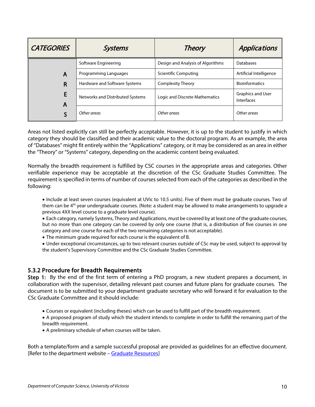| <b>CATEGORIES</b> | <b>Systems</b>                   | <b>Theory</b>                     | Applications                           |
|-------------------|----------------------------------|-----------------------------------|----------------------------------------|
|                   | Software Engineering             | Design and Analysis of Algorithms | Databases                              |
| A                 | Programming Languages            | <b>Scientific Computing</b>       | Artificial Intelligence                |
| R                 | Hardware and Software Systems    | <b>Complexity Theory</b>          | <b>Bioinformatics</b>                  |
| A                 | Networks and Distributed Systems | Logic and Discrete Mathematics    | <b>Graphics and User</b><br>Interfaces |
|                   | Other areas                      | Other areas                       | Other areas                            |

Areas not listed explicitly can still be perfectly acceptable. However, it is up to the student to justify in which category they should be classified and their academic value to the doctoral program. As an example, the area of "Databases" might fit entirely within the "Applications" category, or it may be considered as an area in either the "Theory" or "Systems" category, depending on the academic content being evaluated.

Normally the breadth requirement is fulfilled by CSC courses in the appropriate areas and categories. Other verifiable experience may be acceptable at the discretion of the CSc Graduate Studies Committee. The requirement is specified in terms of number of courses selected from each of the categories as described in the following:

• Include at least seven courses (equivalent at UVic to 10.5 units). Five of them must be graduate courses. Two of them can be 4<sup>th</sup> year undergraduate courses. (Note: a student may be allowed to make arrangements to upgrade a previous 4XX level course to a graduate level course).

• Each category, namely Systems, Theory and Applications, must be covered by at least one of the graduate courses, but no more than one category can be covered by only one course (that is, a distribution of five courses in one category and one course for each of the two remaining categories is not acceptable).

• The minimum grade required for each course is the equivalent of B.

• Under exceptional circumstances, up to two relevant courses outside of CSc may be used, subject to approval by the student's Supervisory Committee and the CSc Graduate Studies Committee.

#### <span id="page-10-0"></span>5.3.2 Procedure for Breadth Requirements

Step 1: By the end of the first term of entering a PhD program, a new student prepares a document, in collaboration with the supervisor, detailing relevant past courses and future plans for graduate courses. The document is to be submitted to your department graduate secretary who will forward it for evaluation to the CSc Graduate Committee and it should include:

- Courses or equivalent (including theses) which can be used to fulfill part of the breadth requirement.
- A proposed program of study which the student intends to complete in order to fulfill the remaining part of the breadth requirement.
- A preliminary schedule of when courses will be taken.

Both a template/form and a sample successful proposal are provided as guidelines for an effective document. [Refer to the department website - [Graduate Resources\]](https://www.uvic.ca/ecs/computerscience/graduate/resources/index.php)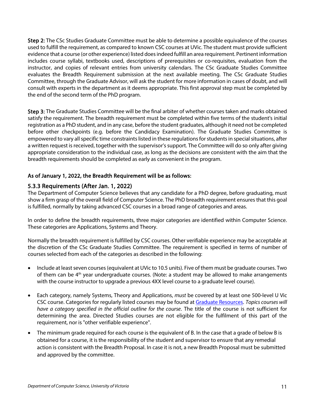Step 2: The CSc Studies Graduate Committee must be able to determine a possible equivalence of the courses used to fulfill the requirement, as compared to known CSC courses at UVic. The student must provide sufficient evidence that a course (or other experience) listed does indeed fulfill an area requirement. Pertinent information includes course syllabi, textbooks used, descriptions of prerequisites or co-requisites, evaluation from the instructor, and copies of relevant entries from university calendars. The CSc Graduate Studies Committee evaluates the Breadth Requirement submission at the next available meeting. The CSc Graduate Studies Committee, through the Graduate Advisor, will ask the student for more information in cases of doubt, and will consult with experts in the department as it deems appropriate. This first approval step must be completed by the end of the second term of the PhD program.

Step 3: The Graduate Studies Committee will be the final arbiter of whether courses taken and marks obtained satisfy the requirement. The breadth requirement must be completed within five terms of the student's initial registration as a PhD student, and in any case, before the student graduates, although it need not be completed before other checkpoints (e.g. before the Candidacy Examination). The Graduate Studies Committee is empowered to vary all specific time constraints listed in these regulations for students in special situations, after a written request is received, together with the supervisor's support. The Committee will do so only after giving appropriate consideration to the individual case, as long as the decisions are consistent with the aim that the breadth requirements should be completed as early as convenient in the program.

#### As of January 1, 2022, the Breadth Requirement will be as follows:

#### <span id="page-11-0"></span>5.3.3 Requirements (After Jan. 1, 2022)

The Department of Computer Science believes that any candidate for a PhD degree, before graduating, must show a firm grasp of the overall field of Computer Science. The PhD breadth requirement ensures that this goal is fulfilled, normally by taking advanced CSC courses in a broad range of categories and areas.

In order to define the breadth requirements, three major categories are identified within Computer Science. These categories are Applications, Systems and Theory.

Normally the breadth requirement is fulfilled by CSC courses. Other verifiable experience may be acceptable at the discretion of the CSc Graduate Studies Committee. The requirement is specified in terms of number of courses selected from each of the categories as described in the following:

- Include at least seven courses (equivalent at UVic to 10.5 units). Five of them must be graduate courses. Two of them can be 4<sup>th</sup> year undergraduate courses. (Note: a student may be allowed to make arrangements with the course instructor to upgrade a previous 4XX level course to a graduate level course).
- Each category, namely Systems, Theory and Applications, *must* be covered by at least one 500-level U Vic CSC course. Categories for regularly listed courses may be found a[t Graduate Resources.](https://www.uvic.ca/ecs/computerscience/assets/docs/grad/breadth-requirement-classification.pdf) *Topics courses will have a category specified in the official outline for the course*. The title of the course is not sufficient for determining the area. Directed Studies courses are not eligible for the fulfilment of this part of the requirement, nor is "other verifiable experience".
- The minimum grade required for each course is the equivalent of B. In the case that a grade of below B is obtained for a course, it is the responsibility of the student and supervisor to ensure that any remedial action is consistent with the Breadth Proposal. In case it is not, a new Breadth Proposal must be submitted and approved by the committee.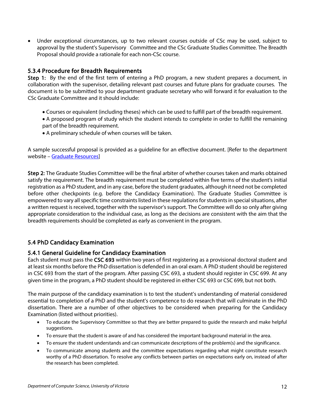• Under exceptional circumstances, up to two relevant courses outside of CSc may be used, subject to approval by the student's Supervisory Committee and the CSc Graduate Studies Committee. The Breadth Proposal should provide a rationale for each non-CSc course.

## <span id="page-12-0"></span>5.3.4 Procedure for Breadth Requirements

Step 1: By the end of the first term of entering a PhD program, a new student prepares a document, in collaboration with the supervisor, detailing relevant past courses and future plans for graduate courses. The document is to be submitted to your department graduate secretary who will forward it for evaluation to the CSc Graduate Committee and it should include:

- Courses or equivalent (including theses) which can be used to fulfill part of the breadth requirement.
- A proposed program of study which the student intends to complete in order to fulfill the remaining part of the breadth requirement.
- A preliminary schedule of when courses will be taken.

A sample successful proposal is provided as a guideline for an effective document. [Refer to the department website – [Graduate Resources\]](https://www.uvic.ca/ecs/computerscience/graduate/resources/index.php)

Step 2: The Graduate Studies Committee will be the final arbiter of whether courses taken and marks obtained satisfy the requirement. The breadth requirement must be completed within five terms of the student's initial registration as a PhD student, and in any case, before the student graduates, although it need not be completed before other checkpoints (e.g. before the Candidacy Examination). The Graduate Studies Committee is empowered to vary all specific time constraints listed in these regulations for students in special situations, after a written request is received, together with the supervisor's support. The Committee will do so only after giving appropriate consideration to the individual case, as long as the decisions are consistent with the aim that the breadth requirements should be completed as early as convenient in the program.

## <span id="page-12-1"></span>5.4 PhD Candidacy Examination

## <span id="page-12-2"></span>5.4.1 General Guideline for Candidacy Examination

Each student must pass the CSC 693 within two years of first registering as a provisional doctoral student and at least six months before the PhD dissertation is defended in an oral exam. A PhD student should be registered in CSC 693 from the start of the program. After passing CSC 693, a student should register in CSC 699. At any given time in the program, a PhD student should be registered in either CSC 693 or CSC 699, but not both.

The main purpose of the candidacy examination is to test the student's understanding of material considered essential to completion of a PhD and the student's competence to do research that will culminate in the PhD dissertation. There are a number of other objectives to be considered when preparing for the Candidacy Examination (listed without priorities).

- To educate the Supervisory Committee so that they are better prepared to guide the research and make helpful suggestions.
- To ensure that the student is aware of and has considered the important background material in the area.
- To ensure the student understands and can communicate descriptions of the problem(s) and the significance.
- To communicate among students and the committee expectations regarding what might constitute research worthy of a PhD dissertation. To resolve any conflicts between parties on expectations early on, instead of after the research has been completed.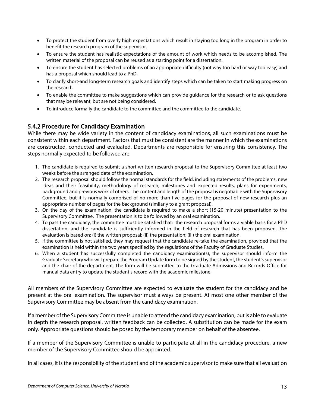- To protect the student from overly high expectations which result in staying too long in the program in order to benefit the research program of the supervisor.
- To ensure the student has realistic expectations of the amount of work which needs to be accomplished. The written material of the proposal can be reused as a starting point for a dissertation.
- To ensure the student has selected problems of an appropriate difficulty (not way too hard or way too easy) and has a proposal which should lead to a PhD.
- To clarify short-and long-term research goals and identify steps which can be taken to start making progress on the research.
- To enable the committee to make suggestions which can provide guidance for the research or to ask questions that may be relevant, but are not being considered.
- To introduce formally the candidate to the committee and the committee to the candidate.

## <span id="page-13-0"></span>5.4.2 Procedure for Candidacy Examination

While there may be wide variety in the content of candidacy examinations, all such examinations must be consistent within each department. Factors that must be consistent are the manner in which the examinations are constructed, conducted and evaluated. Departments are responsible for ensuring this consistency. The steps normally expected to be followed are:

- 1. The candidate is required to submit a short written research proposal to the Supervisory Committee at least two weeks before the arranged date of the examination.
- 2. The research proposal should follow the normal standards for the field, including statements of the problems, new ideas and their feasibility, methodology of research, milestones and expected results, plans for experiments, background and previous work of others. The content and length of the proposal is negotiable with the Supervisory Committee, but it is normally comprised of no more than five pages for the proposal of new research plus an appropriate number of pages for the background (similarly to a grant proposal).
- 3. On the day of the examination, the candidate is required to make a short (15-20 minute) presentation to the Supervisory Committee. The presentation is to be followed by an oral examination.
- 4. To pass the candidacy, the committee must be satisfied that: the research proposal forms a viable basis for a PhD dissertation, and the candidate is sufficiently informed in the field of research that has been proposed. The evaluation is based on: (i) the written proposal; (ii) the presentation; (iii) the oral examination.
- 5. If the committee is not satisfied, they may request that the candidate re-take the examination, provided that the examination is held within the two years specified by the regulations of the Faculty of Graduate Studies.
- 6. When a student has successfully completed the candidacy examination(s), the supervisor should inform the Graduate Secretary who will prepare the Program Update form to be signed by the student, the student's supervisor and the chair of the department. The form will be submitted to the Graduate Admissions and Records Office for manual data entry to update the student's record with the academic milestone.

All members of the Supervisory Committee are expected to evaluate the student for the candidacy and be present at the oral examination. The supervisor must always be present. At most one other member of the Supervisory Committee may be absent from the candidacy examination.

If a member of the Supervisory Committee is unable to attend the candidacy examination, but is able to evaluate in depth the research proposal, written feedback can be collected. A substitution can be made for the exam only. Appropriate questions should be posed by the temporary member on behalf of the absentee.

If a member of the Supervisory Committee is unable to participate at all in the candidacy procedure, a new member of the Supervisory Committee should be appointed.

In all cases, it is the responsibility of the student and of the academic supervisor to make sure that all evaluation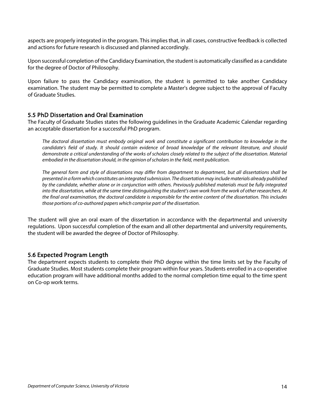aspects are properly integrated in the program. This implies that, in all cases, constructive feedback is collected and actions for future research is discussed and planned accordingly.

Upon successful completion of the Candidacy Examination, the student is automatically classified as a candidate for the degree of Doctor of Philosophy.

Upon failure to pass the Candidacy examination, the student is permitted to take another Candidacy examination. The student may be permitted to complete a Master's degree subject to the approval of Faculty of Graduate Studies.

#### <span id="page-14-0"></span>5.5 PhD Dissertation and Oral Examination

The Faculty of Graduate Studies states the following guidelines in the Graduate Academic Calendar regarding an acceptable dissertation for a successful PhD program.

*The doctoral dissertation must embody original work and constitute a significant contribution to knowledge in the candidate's field of study. It should contain evidence of broad knowledge of the relevant literature, and should demonstrate a critical understanding of the works of scholars closely related to the subject of the dissertation. Material embodied in the dissertation should, in the opinion of scholars in the field, merit publication.*

*The general form and style of dissertations may differ from department to department, but all dissertations shall be presented in a form which constitutes an integrated submission. The dissertation may include materials already published by the candidate, whether alone or in conjunction with others. Previously published materials must be fully integrated into the dissertation, while at the same time distinguishing the student's own work from the work of other researchers. At the final oral examination, the doctoral candidate is responsible for the entire content of the dissertation. This includes those portions of co-authored papers which comprise part of the dissertation.* 

The student will give an oral exam of the dissertation in accordance with the departmental and university regulations. Upon successful completion of the exam and all other departmental and university requirements, the student will be awarded the degree of Doctor of Philosophy.

#### <span id="page-14-1"></span>5.6 Expected Program Length

The department expects students to complete their PhD degree within the time limits set by the Faculty of Graduate Studies. Most students complete their program within four years. Students enrolled in a co-operative education program will have additional months added to the normal completion time equal to the time spent on Co-op work terms.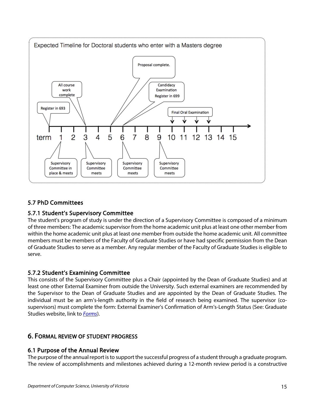

## <span id="page-15-0"></span>5.7 PhD Committees

## <span id="page-15-1"></span>5.7.1 Student's Supervisory Committee

The student's program of study is under the direction of a Supervisory Committee is composed of a minimum of three members: The academic supervisor from the home academic unit plus at least one other member from within the home academic unit plus at least one member from outside the home academic unit. All committee members must be members of the Faculty of Graduate Studies or have had specific permission from the Dean of Graduate Studies to serve as a member. Any regular member of the Faculty of Graduate Studies is eligible to serve.

## <span id="page-15-2"></span>5.7.2 Student's Examining Committee

This consists of the Supervisory Committee plus a Chair (appointed by the Dean of Graduate Studies) and at least one other External Examiner from outside the University. Such external examiners are recommended by the Supervisor to the Dean of Graduate Studies and are appointed by the Dean of Graduate Studies. The individual must be an arm's-length authority in the field of research being examined. The supervisor (cosupervisors) must complete the form: External Examiner's Confirmation of Arm's-Length Status (See: Graduate Studies website, link to *[Forms](https://www.uvic.ca/graduatestudies/home/home/forms/index.php)*).

## <span id="page-15-3"></span>6. FORMAL REVIEW OF STUDENT PROGRESS

## <span id="page-15-4"></span>6.1 Purpose of the Annual Review

The purpose of the annual report is to support the successful progress of a student through a graduate program. The review of accomplishments and milestones achieved during a 12-month review period is a constructive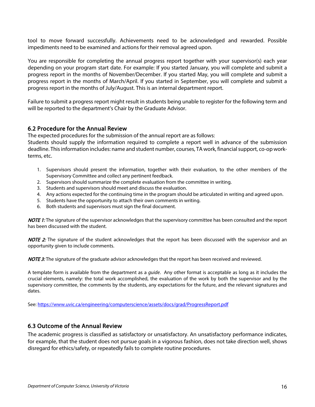tool to move forward successfully. Achievements need to be acknowledged and rewarded. Possible impediments need to be examined and actions for their removal agreed upon.

You are responsible for completing the annual progress report together with your supervisor(s) each year depending on your program start date. For example: If you started January, you will complete and submit a progress report in the months of November/December. If you started May, you will complete and submit a progress report in the months of March/April. If you started in September, you will complete and submit a progress report in the months of July/August. This is an internal department report.

Failure to submit a progress report might result in students being unable to register for the following term and will be reported to the department's Chair by the Graduate Advisor.

#### <span id="page-16-0"></span>6.2 Procedure for the Annual Review

The expected procedures for the submission of the annual report are as follows:

Students should supply the information required to complete a report well in advance of the submission deadline. This information includes: name and student number, courses, TA work, financial support, co-op workterms, etc.

- 1. Supervisors should present the information, together with their evaluation, to the other members of the Supervisory Committee and collect any pertinent feedback.
- 2. Supervisors should summarize the complete evaluation from the committee in writing.
- 3. Students and supervisors should meet and discuss the evaluation.
- 4. Any actions expected for the continuing time in the program should be articulated in writing and agreed upon.
- 5. Students have the opportunity to attach their own comments in writing.
- 6. Both students and supervisors must sign the final document.

NOTE 1: The signature of the supervisor acknowledges that the supervisory committee has been consulted and the report has been discussed with the student.

NOTE 2: The signature of the student acknowledges that the report has been discussed with the supervisor and an opportunity given to include comments.

**NOTE 3:** The signature of the graduate advisor acknowledges that the report has been received and reviewed.

A template form is available from the department as a *guide*. Any other format is acceptable as long as it includes the crucial elements, namely: the total work accomplished, the evaluation of the work by both the supervisor and by the supervisory committee, the comments by the students, any expectations for the future, and the relevant signatures and dates.

See[: https://www.uvic.ca/engineering/computerscience/assets/docs/grad/ProgressReport.pdf](https://www.uvic.ca/engineering/computerscience/assets/docs/grad/ProgressReport.pdf)

#### <span id="page-16-1"></span>6.3 Outcome of the Annual Review

The academic progress is classified as satisfactory or unsatisfactory. An unsatisfactory performance indicates, for example, that the student does not pursue goals in a vigorous fashion, does not take direction well, shows disregard for ethics/safety, or repeatedly fails to complete routine procedures.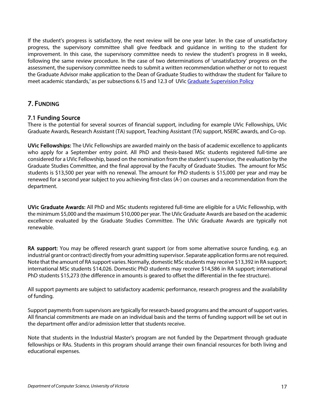If the student's progress is satisfactory, the next review will be one year later. In the case of unsatisfactory progress, the supervisory committee shall give feedback and guidance in writing to the student for improvement. In this case, the supervisory committee needs to review the student's progress in 8 weeks, following the same review procedure. In the case of two determinations of 'unsatisfactory' progress on the assessment, the supervisory committee needs to submit a written recommendation whether or not to request the Graduate Advisor make application to the Dean of Graduate Studies to withdraw the student for 'failure to meet academic standards,' as per subsections 6.15 and 12.3 of UVi[c Graduate Supervision Policy](https://www.uvic.ca/graduatestudies/assets/docs/pdfs/policies/graduate-supervision-policy.pdf)

## <span id="page-17-0"></span>7. FUNDING

## <span id="page-17-1"></span>7.1 Funding Source

There is the potential for several sources of financial support, including for example UVic Fellowships, UVic Graduate Awards, Research Assistant (TA) support, Teaching Assistant (TA) support, NSERC awards, and Co-op.

UVic Fellowships: The UVic Fellowships are awarded mainly on the basis of academic excellence to applicants who apply for a September entry point. All PhD and thesis-based MSc students registered full-time are considered for a UVic Fellowship, based on the nomination from the student's supervisor, the evaluation by the Graduate Studies Committee, and the final approval by the Faculty of Graduate Studies. The amount for MSc students is \$13,500 per year with no renewal. The amount for PhD students is \$15,000 per year and may be renewed for a second year subject to you achieving first-class (A-) on courses and a recommendation from the department.

UVic Graduate Awards: All PhD and MSc students registered full-time are eligible for a UVic Fellowship, with the minimum \$5,000 and the maximum \$10,000 per year. The UVic Graduate Awards are based on the academic excellence evaluated by the Graduate Studies Committee. The UVic Graduate Awards are typically not renewable.

RA support: You may be offered research grant support (or from some alternative source funding, e.g. an industrial grant or contract) directly from your admitting supervisor. Separate application forms are not required. Note that the amount of RA support varies. Normally, domestic MSc students may receive \$13,392 in RA support; international MSc students \$14,026. Domestic PhD students may receive \$14,586 in RA support; international PhD students \$15,273 (the difference in amounts is geared to offset the differential in the fee structure).

All support payments are subject to satisfactory academic performance, research progress and the availability of funding.

Support payments from supervisors are typically for research-based programs and the amount of support varies. All financial commitments are made on an individual basis and the terms of funding support will be set out in the department offer and/or admission letter that students receive.

Note that students in the Industrial Master's program are not funded by the Department through graduate fellowships or RAs. Students in this program should arrange their own financial resources for both living and educational expenses.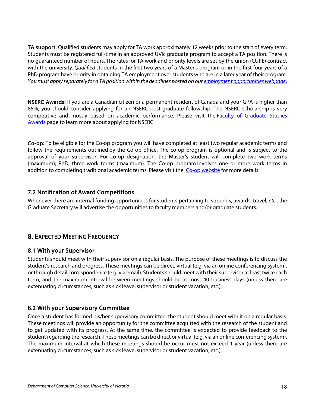TA support: Qualified students may apply for TA work approximately 12 weeks prior to the start of every term. Students must be registered full-time in an approved UVic graduate program to accept a TA position. There is no guaranteed number of hours. The rates for TA work and priority levels are set by the union (CUPE) contract with the university. *Qualified* students in the first two years of a Master's program or in the first four years of a PhD program have priority in obtaining TA employment over students who are in a later year of their program. *You must apply separately for a TA position within the deadlines posted on our employment [opportunities](https://www.uvic.ca/ecs/computerscience/people/employment-opportunities/index.php) webpage*.

NSERC Awards: If you are a Canadian citizen or a permanent resident of Canada and your GPA is higher than 85%, you should consider applying for an NSERC post-graduate fellowship. The NSERC scholarship is very competitive and mostly based on academic performance. Please visit the Faculty of [Graduate](https://www.uvic.ca/graduatestudies/finances/financialaid/externalawards/index.php) Studies [Awards](https://www.uvic.ca/graduatestudies/finances/financialaid/externalawards/index.php) page to learn more about applying for NSERC.

Co-op: To be eligible for the Co-op program you will have completed at least two regular academic terms and follow the requirements outlined by the Co-op office. The co-op program is optional and is subject to the approval of your supervisor. For co-op designation, the Master's student will complete two work terms (maximum); PhD, three work terms (maximum). The Co-op program involves one or more work terms in addition to completing traditional academic terms. Please visit the Co-op [website](https://www.uvic.ca/ecs/computerscience/undergraduate/co-op/index.php) for more details.

## <span id="page-18-0"></span>7.2 Notification of Award Competitions

<span id="page-18-1"></span>Whenever there are internal funding opportunities for students pertaining to stipends, awards, travel, *etc.*, the Graduate Secretary will advertise the opportunities to faculty members and/or graduate students.

## 8. EXPECTED MEETING FREQUENCY

## <span id="page-18-2"></span>8.1 With your Supervisor

Students should meet with their supervisor on a regular basis. The purpose of these meetings is to discuss the student's research and progress. These meetings can be direct, virtual (e.g. via an online conferencing system), or through detail correspondence (e.g. via email). Students should meet with their supervisor at least twice each term, and the maximum interval between meetings should be at most 40 business days (unless there are extenuating circumstances, such as sick leave, supervisor or student vacation, etc.).

## <span id="page-18-3"></span>8.2 With your Supervisory Committee

Once a student has formed his/her supervisory committee, the student should meet with it on a regular basis. These meetings will provide an opportunity for the committee acquitted with the research of the student and to get updated with its progress. At the same time, the committee is expected to provide feedback to the student regarding the research. These meetings can be direct or virtual (e.g. via an online conferencing system). The maximum interval at which these meetings should be occur must not exceed 1 year (unless there are extenuating circumstances, such as sick leave, supervisor or student vacation, etc.).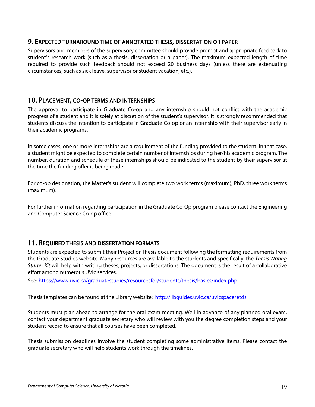#### <span id="page-19-0"></span>9. EXPECTED TURNAROUND TIME OF ANNOTATED THESIS, DISSERTATION OR PAPER

Supervisors and members of the supervisory committee should provide prompt and appropriate feedback to student's research work (such as a thesis, dissertation or a paper). The maximum expected length of time required to provide such feedback should not exceed 20 business days (unless there are extenuating circumstances, such as sick leave, supervisor or student vacation, etc.).

#### <span id="page-19-1"></span>10. PLACEMENT, CO-OP TERMS AND INTERNSHIPS

The approval to participate in Graduate Co-op and any internship should not conflict with the academic progress of a student and it is solely at discretion of the student's supervisor. It is strongly recommended that students discuss the intention to participate in Graduate Co-op or an internship with their supervisor early in their academic programs.

In some cases, one or more internships are a requirement of the funding provided to the student. In that case, a student might be expected to complete certain number of internships during her/his academic program. The number, duration and schedule of these internships should be indicated to the student by their supervisor at the time the funding offer is being made.

For co-op designation, the Master's student will complete two work terms (maximum); PhD, three work terms (maximum).

For further information regarding participation in the Graduate Co-Op program please contact the Engineering and Computer Science Co-op office.

## <span id="page-19-2"></span>11. REQUIRED THESIS AND DISSERTATION FORMATS

Students are expected to submit their Project or Thesis document following the formatting requirements from the Graduate Studies website. Many resources are available to the students and specifically, the *Thesis Writing Starter Kit* will help with writing theses, projects, or dissertations. The document is the result of a collaborative effort among numerous UVic services.

See:<https://www.uvic.ca/graduatestudies/resourcesfor/students/thesis/basics/index.php>

Thesis templates can be found at the Library website:<http://libguides.uvic.ca/uvicspace/etds>

Students must plan ahead to arrange for the oral exam meeting. Well in advance of any planned oral exam, contact your department graduate secretary who will review with you the degree completion steps and your student record to ensure that all courses have been completed.

Thesis submission deadlines involve the student completing some administrative items. Please contact the graduate secretary who will help students work through the timelines.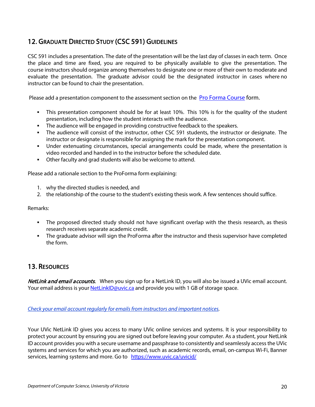## <span id="page-20-0"></span>12. GRADUATE DIRECTED STUDY (CSC 591) GUIDELINES

CSC 591 includes a presentation. The date of the presentation will be the last day of classes in each term. Once the place and time are fixed, you are required to be physically available to give the presentation. The course instructors should organize among themselves to designate one or more of their own to moderate and evaluate the presentation. The graduate advisor could be the designated instructor in cases where no instructor can be found to chair the presentation.

Please add a presentation component to the assessment section on the [Pro Forma Course](https://www.uvic.ca/graduatestudies/forms-policies/index.php) form.

- This presentation component should be for at least 10%. This 10% is for the quality of the student presentation, including how the student interacts with the audience.
- The audience will be engaged in providing constructive feedback to the speakers.
- The audience will consist of the instructor, other CSC 591 students, the instructor or designate. The instructor or designate is responsible for assigning the mark for the presentation component.
- Under extenuating circumstances, special arrangements could be made, where the presentation is video recorded and handed in to the instructor before the scheduled date.
- Other faculty and grad students will also be welcome to attend.

Please add a rationale section to the ProForma form explaining:

- 1. why the directed studies is needed, and
- 2. the relationship of the course to the student's existing thesis work. A few sentences should suffice.

#### Remarks:

- The proposed directed study should not have significant overlap with the thesis research, as thesis research receives separate academic credit.
- The graduate advisor will sign the ProForma after the instructor and thesis supervisor have completed the form.

## <span id="page-20-1"></span>13. RESOURCES

NetLink and email accounts. When you sign up for a NetLink ID, you will also be issued a UVic email account. Your email address is your **NetLinkID@uvic.ca** and provide you with 1 GB of storage space.

*Check your email account regularly for emails from instructors and important notices.*

Your UVic NetLink ID gives you access to many UVic online services and systems. It is your responsibility to protect your account by ensuring you are signed out before leaving your computer. As a student, your NetLink ID account provides you with a secure username and passphrase to consistently and seamlessly access the UVic systems and services for which you are authorized, such as academic records, email, on-campus Wi-Fi, Banner services, learning systems and more. Go to <https://www.uvic.ca/uvicid/>